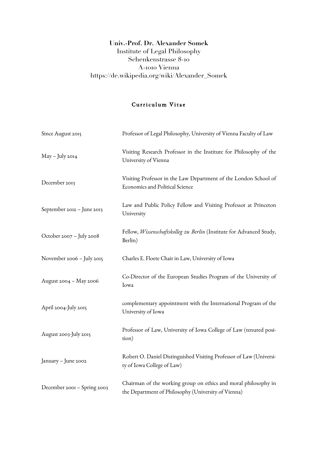## **Univ.-Prof. Dr. Alexander Somek** Institute of Legal Philosophy Schenkenstrasse 8-10 A-1010 Vienna https://de.wikipedia.org/wiki/Alexander\_Somek

## Curriculum Vitae

| Since August 2015           | Professor of Legal Philosophy, University of Vienna Faculty of Law                                                     |
|-----------------------------|------------------------------------------------------------------------------------------------------------------------|
| May - July 2014             | Visiting Research Professor in the Institute for Philosophy of the<br>University of Vienna                             |
| December 2013               | Visiting Professor in the Law Department of the London School of<br>Economics and Political Science                    |
| September 2012 - June 2013  | Law and Public Policy Fellow and Visiting Professor at Princeton<br>University                                         |
| October 2007 - July 2008    | Fellow, Wissenschaftskolleg zu Berlin (Institute for Advanced Study,<br>Berlin)                                        |
| November 2006 - July 2015   | Charles E. Floete Chair in Law, University of Iowa                                                                     |
| August 2004 - May 2006      | Co-Director of the European Studies Program of the University of<br>Iowa                                               |
| April 2004-July 2015        | complementary appointment with the International Program of the<br>University of Iowa                                  |
| August 2003-July 2015       | Professor of Law, University of Iowa College of Law (tenured posi-<br>tion)                                            |
| January - June 2002         | Robert O. Daniel Distinguished Visiting Professor of Law (Universi-<br>ty of Iowa College of Law)                      |
| December 2001 - Spring 2003 | Chairman of the working group on ethics and moral philosophy in<br>the Department of Philosophy (University of Vienna) |